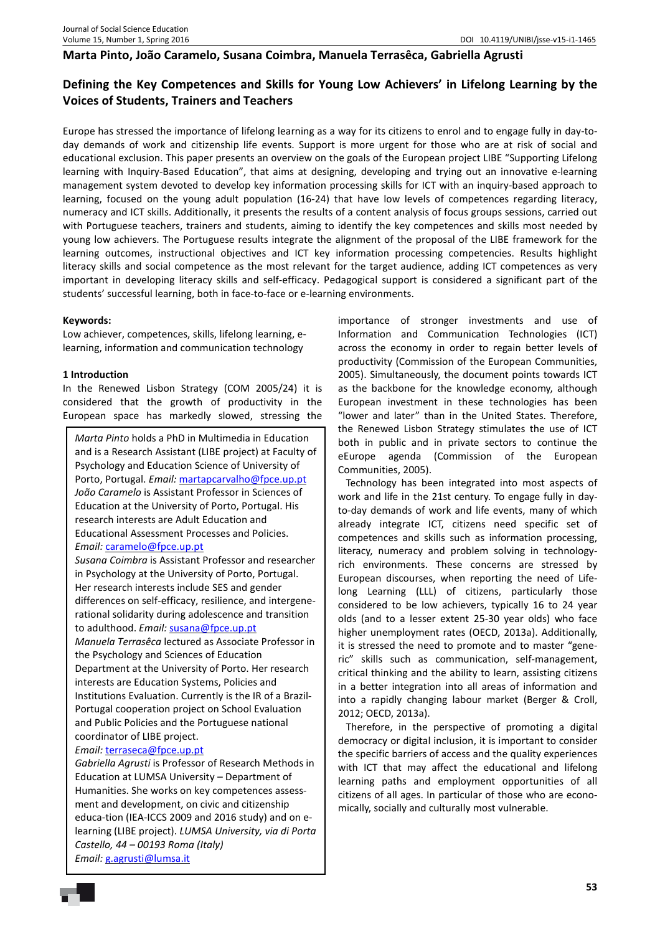# **Marta Pinto, João Caramelo, Susana Coimbra, Manuela Terrasêca, Gabriella Agrusti**

# **Defining the Key Competences and Skills for Young Low Achievers' in Lifelong Learning by the Voices of Students, Trainers and Teachers**

Europe has stressed the importance of lifelong learning as a way for its citizens to enrol and to engage fully in day-today demands of work and citizenship life events. Support is more urgent for those who are at risk of social and educational exclusion. This paper presents an overview on the goals of the European project LIBE "Supporting Lifelong learning with Inquiry-Based Education", that aims at designing, developing and trying out an innovative e-learning management system devoted to develop key information processing skills for ICT with an inquiry-based approach to learning, focused on the young adult population (16-24) that have low levels of competences regarding literacy, numeracy and ICT skills. Additionally, it presents the results of a content analysis of focus groups sessions, carried out with Portuguese teachers, trainers and students, aiming to identify the key competences and skills most needed by young low achievers. The Portuguese results integrate the alignment of the proposal of the LIBE framework for the learning outcomes, instructional objectives and ICT key information processing competencies. Results highlight literacy skills and social competence as the most relevant for the target audience, adding ICT competences as very important in developing literacy skills and self-efficacy. Pedagogical support is considered a significant part of the students' successful learning, both in face-to-face or e-learning environments.

## **Keywords:**

Low achiever, competences, skills, lifelong learning, elearning, information and communication technology

## **1 Introduction**

In the Renewed Lisbon Strategy (COM 2005/24) it is considered that the growth of productivity in the European space has markedly slowed, stressing the

*Marta Pinto* holds a PhD in Multimedia in Education and is a Research Assistant (LIBE project) at Faculty of Psychology and Education Science of University of Porto, Portugal. *Email:* martapcarvalho@fpce.up.pt *João Caramelo* is Assistant Professor in Sciences of Education at the University of Porto, Portugal. His research interests are Adult Education and Educational Assessment Processes and Policies. *Email:* caramelo@fpce.up.pt

*Susana Coimbra* is Assistant Professor and researcher in Psychology at the University of Porto, Portugal. Her research interests include SES and gender differences on self-efficacy, resilience, and intergenerational solidarity during adolescence and transition to adulthood. *Email:* susana@fpce.up.pt

*Manuela Terrasêca* lectured as Associate Professor in the Psychology and Sciences of Education Department at the University of Porto. Her research interests are Education Systems, Policies and Institutions Evaluation. Currently is the IR of a Brazil-Portugal cooperation project on School Evaluation and Public Policies and the Portuguese national coordinator of LIBE project.

## *Email:* terraseca@fpce.up.pt

*Gabriella Agrusti* is Professor of Research Methods in Education at LUMSA University – Department of Humanities. She works on key competences assessment and development, on civic and citizenship educa-tion (IEA-ICCS 2009 and 2016 study) and on elearning (LIBE project). *LUMSA University, via di Porta Castello, 44 – 00193 Roma (Italy) Email:* g.agrusti@lumsa.it

importance of stronger investments and use of Information and Communication Technologies (ICT) across the economy in order to regain better levels of productivity (Commission of the European Communities, 2005). Simultaneously, the document points towards ICT as the backbone for the knowledge economy, although European investment in these technologies has been "lower and later" than in the United States. Therefore, the Renewed Lisbon Strategy stimulates the use of ICT both in public and in private sectors to continue the eEurope agenda (Commission of the European Communities, 2005).

Technology has been integrated into most aspects of work and life in the 21st century. To engage fully in dayto-day demands of work and life events, many of which already integrate ICT, citizens need specific set of competences and skills such as information processing, literacy, numeracy and problem solving in technologyrich environments. These concerns are stressed by European discourses, when reporting the need of Lifelong Learning (LLL) of citizens, particularly those considered to be low achievers, typically 16 to 24 year olds (and to a lesser extent 25-30 year olds) who face higher unemployment rates (OECD, 2013a). Additionally, it is stressed the need to promote and to master "generic" skills such as communication, self-management, critical thinking and the ability to learn, assisting citizens in a better integration into all areas of information and into a rapidly changing labour market (Berger & Croll, 2012; OECD, 2013a).

Therefore, in the perspective of promoting a digital democracy or digital inclusion, it is important to consider the specific barriers of access and the quality experiences with ICT that may affect the educational and lifelong learning paths and employment opportunities of all citizens of all ages. In particular of those who are economically, socially and culturally most vulnerable.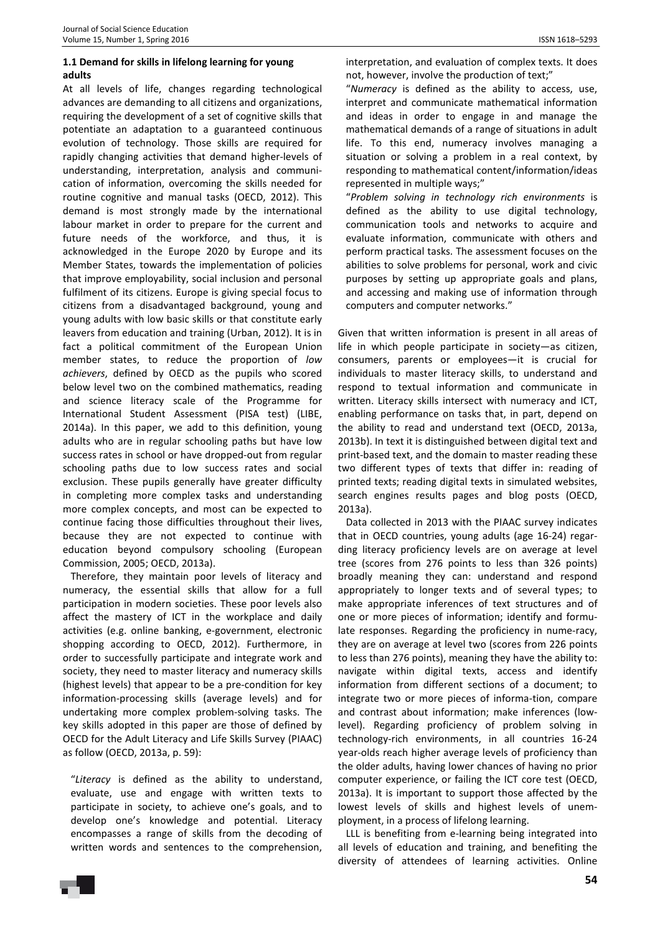# **1.1 Demand for skills in lifelong learning for young adults**

At all levels of life, changes regarding technological advances are demanding to all citizens and organizations, requiring the development of a set of cognitive skills that potentiate an adaptation to a guaranteed continuous evolution of technology. Those skills are required for rapidly changing activities that demand higher-levels of understanding, interpretation, analysis and communication of information, overcoming the skills needed for routine cognitive and manual tasks (OECD, 2012). This demand is most strongly made by the international labour market in order to prepare for the current and future needs of the workforce, and thus, it is acknowledged in the Europe 2020 by Europe and its Member States, towards the implementation of policies that improve employability, social inclusion and personal fulfilment of its citizens. Europe is giving special focus to citizens from a disadvantaged background, young and young adults with low basic skills or that constitute early leavers from education and training (Urban, 2012). It is in fact a political commitment of the European Union member states, to reduce the proportion of *low achievers*, defined by OECD as the pupils who scored below level two on the combined mathematics, reading and science literacy scale of the Programme for International Student Assessment (PISA test) (LIBE, 2014a). In this paper, we add to this definition, young adults who are in regular schooling paths but have low success rates in school or have dropped-out from regular schooling paths due to low success rates and social exclusion. These pupils generally have greater difficulty in completing more complex tasks and understanding more complex concepts, and most can be expected to continue facing those difficulties throughout their lives, because they are not expected to continue with education beyond compulsory schooling (European Commission, 2005; OECD, 2013a).

Therefore, they maintain poor levels of literacy and numeracy, the essential skills that allow for a full participation in modern societies. These poor levels also affect the mastery of ICT in the workplace and daily activities (e.g. online banking, e-government, electronic shopping according to OECD, 2012). Furthermore, in order to successfully participate and integrate work and society, they need to master literacy and numeracy skills (highest levels) that appear to be a pre-condition for key information-processing skills (average levels) and for undertaking more complex problem-solving tasks. The key skills adopted in this paper are those of defined by OECD for the Adult Literacy and Life Skills Survey (PIAAC) as follow (OECD, 2013a, p. 59):

"*Literacy* is defined as the ability to understand, evaluate, use and engage with written texts to participate in society, to achieve one's goals, and to develop one's knowledge and potential. Literacy encompasses a range of skills from the decoding of written words and sentences to the comprehension, interpretation, and evaluation of complex texts. It does not, however, involve the production of text;"

"*Numeracy* is defined as the ability to access, use, interpret and communicate mathematical information and ideas in order to engage in and manage the mathematical demands of a range of situations in adult life. To this end, numeracy involves managing a situation or solving a problem in a real context, by responding to mathematical content/information/ideas represented in multiple ways;"

"*Problem solving in technology rich environments* is defined as the ability to use digital technology, communication tools and networks to acquire and evaluate information, communicate with others and perform practical tasks. The assessment focuses on the abilities to solve problems for personal, work and civic purposes by setting up appropriate goals and plans, and accessing and making use of information through computers and computer networks."

Given that written information is present in all areas of life in which people participate in society—as citizen, consumers, parents or employees—it is crucial for individuals to master literacy skills, to understand and respond to textual information and communicate in written. Literacy skills intersect with numeracy and ICT, enabling performance on tasks that, in part, depend on the ability to read and understand text (OECD, 2013a, 2013b). In text it is distinguished between digital text and print-based text, and the domain to master reading these two different types of texts that differ in: reading of printed texts; reading digital texts in simulated websites, search engines results pages and blog posts (OECD, 2013a).

Data collected in 2013 with the PIAAC survey indicates that in OECD countries, young adults (age 16-24) regarding literacy proficiency levels are on average at level tree (scores from 276 points to less than 326 points) broadly meaning they can: understand and respond appropriately to longer texts and of several types; to make appropriate inferences of text structures and of one or more pieces of information; identify and formulate responses. Regarding the proficiency in nume-racy, they are on average at level two (scores from 226 points to less than 276 points), meaning they have the ability to: navigate within digital texts, access and identify information from different sections of a document; to integrate two or more pieces of informa-tion, compare and contrast about information; make inferences (lowlevel). Regarding proficiency of problem solving in technology-rich environments, in all countries 16-24 year-olds reach higher average levels of proficiency than the older adults, having lower chances of having no prior computer experience, or failing the ICT core test (OECD, 2013a). It is important to support those affected by the lowest levels of skills and highest levels of unemployment, in a process of lifelong learning.

LLL is benefiting from e-learning being integrated into all levels of education and training, and benefiting the diversity of attendees of learning activities. Online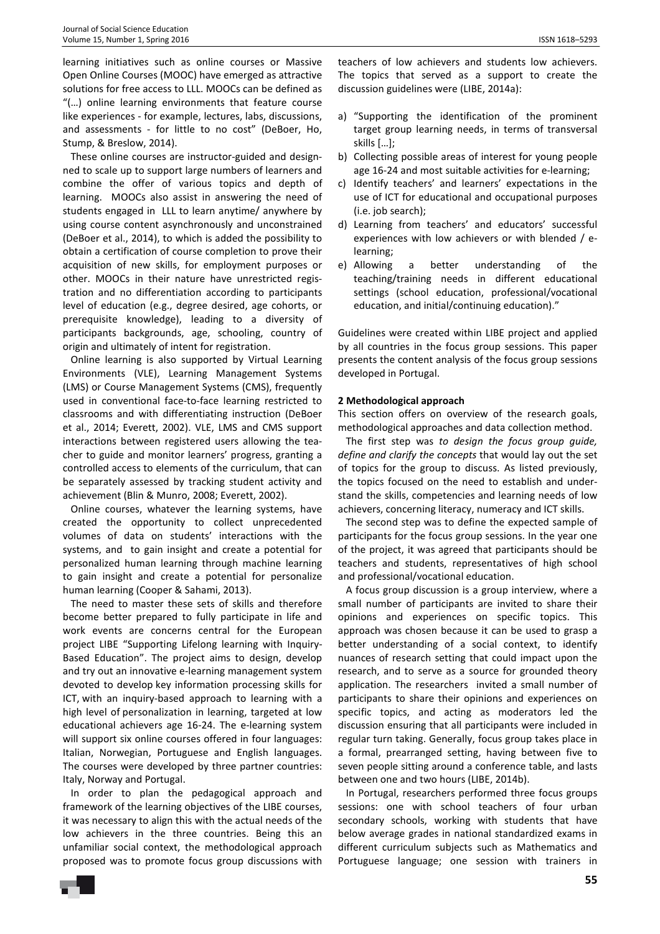learning initiatives such as online courses or Massive Open Online Courses (MOOC) have emerged as attractive solutions for free access to LLL. MOOCs can be defined as "(…) online learning environments that feature course like experiences - for example, lectures, labs, discussions, and assessments - for little to no cost" (DeBoer, Ho, Stump, & Breslow, 2014).

These online courses are instructor-guided and designned to scale up to support large numbers of learners and combine the offer of various topics and depth of learning. MOOCs also assist in answering the need of students engaged in LLL to learn anytime/ anywhere by using course content asynchronously and unconstrained (DeBoer et al., 2014), to which is added the possibility to obtain a certification of course completion to prove their acquisition of new skills, for employment purposes or other. MOOCs in their nature have unrestricted registration and no differentiation according to participants level of education (e.g., degree desired, age cohorts, or prerequisite knowledge), leading to a diversity of participants backgrounds, age, schooling, country of origin and ultimately of intent for registration.

Online learning is also supported by Virtual Learning Environments (VLE), Learning Management Systems (LMS) or Course Management Systems (CMS), frequently used in conventional face-to-face learning restricted to classrooms and with differentiating instruction (DeBoer et al., 2014; Everett, 2002). VLE, LMS and CMS support interactions between registered users allowing the teacher to guide and monitor learners' progress, granting a controlled access to elements of the curriculum, that can be separately assessed by tracking student activity and achievement (Blin & Munro, 2008; Everett, 2002).

Online courses, whatever the learning systems, have created the opportunity to collect unprecedented volumes of data on students' interactions with the systems, and to gain insight and create a potential for personalized human learning through machine learning to gain insight and create a potential for personalize human learning (Cooper & Sahami, 2013).

The need to master these sets of skills and therefore become better prepared to fully participate in life and work events are concerns central for the European project LIBE "Supporting Lifelong learning with Inquiry-Based Education". The project aims to design, develop and try out an innovative e-learning management system devoted to develop key information processing skills for ICT, with an inquiry-based approach to learning with a high level of personalization in learning, targeted at low educational achievers age 16-24. The e-learning system will support six online courses offered in four languages: Italian, Norwegian, Portuguese and English languages. The courses were developed by three partner countries: Italy, Norway and Portugal.

In order to plan the pedagogical approach and framework of the learning objectives of the LIBE courses, it was necessary to align this with the actual needs of the low achievers in the three countries. Being this an unfamiliar social context, the methodological approach proposed was to promote focus group discussions with

teachers of low achievers and students low achievers. The topics that served as a support to create the discussion guidelines were (LIBE, 2014a):

- a) "Supporting the identification of the prominent target group learning needs, in terms of transversal skills […];
- b) Collecting possible areas of interest for young people age 16-24 and most suitable activities for e-learning;
- c) Identify teachers' and learners' expectations in the use of ICT for educational and occupational purposes (i.e. job search);
- d) Learning from teachers' and educators' successful experiences with low achievers or with blended / elearning;
- e) Allowing a better understanding of the teaching/training needs in different educational settings (school education, professional/vocational education, and initial/continuing education)."

Guidelines were created within LIBE project and applied by all countries in the focus group sessions. This paper presents the content analysis of the focus group sessions developed in Portugal.

#### **2 Methodological approach**

This section offers on overview of the research goals, methodological approaches and data collection method.

The first step was *to design the focus group guide, define and clarify the concepts* that would lay out the set of topics for the group to discuss. As listed previously, the topics focused on the need to establish and understand the skills, competencies and learning needs of low achievers, concerning literacy, numeracy and ICT skills.

The second step was to define the expected sample of participants for the focus group sessions. In the year one of the project, it was agreed that participants should be teachers and students, representatives of high school and professional/vocational education.

A focus group discussion is a group interview, where a small number of participants are invited to share their opinions and experiences on specific topics. This approach was chosen because it can be used to grasp a better understanding of a social context, to identify nuances of research setting that could impact upon the research, and to serve as a source for grounded theory application. The researchers invited a small number of participants to share their opinions and experiences on specific topics, and acting as moderators led the discussion ensuring that all participants were included in regular turn taking. Generally, focus group takes place in a formal, prearranged setting, having between five to seven people sitting around a conference table, and lasts between one and two hours (LIBE, 2014b).

In Portugal, researchers performed three focus groups sessions: one with school teachers of four urban secondary schools, working with students that have below average grades in national standardized exams in different curriculum subjects such as Mathematics and Portuguese language; one session with trainers in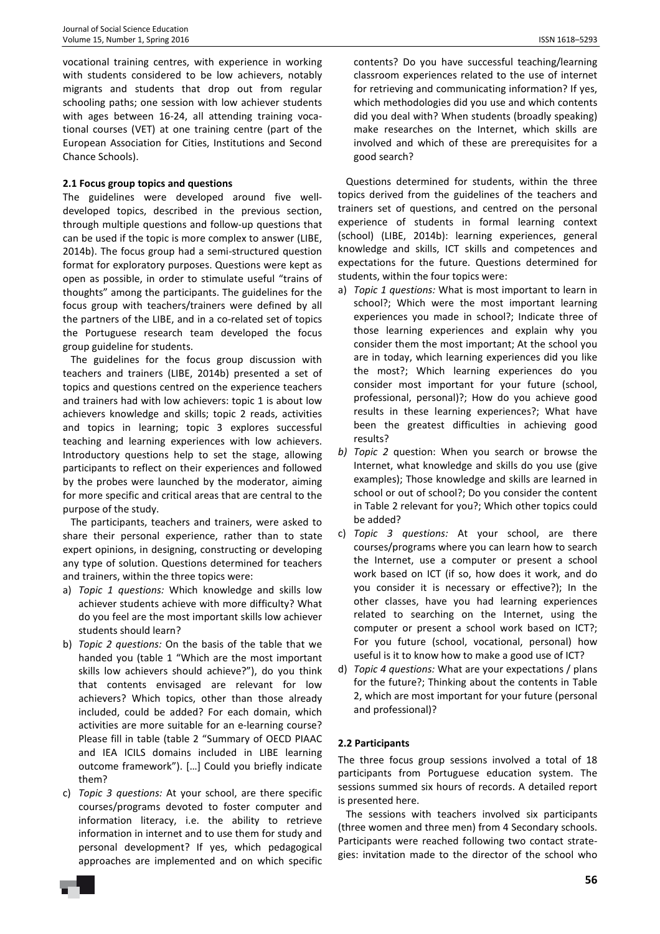vocational training centres, with experience in working with students considered to be low achievers, notably migrants and students that drop out from regular schooling paths; one session with low achiever students with ages between 16-24, all attending training vocational courses (VET) at one training centre (part of the European Association for Cities, Institutions and Second Chance Schools).

# **2.1 Focus group topics and questions**

The guidelines were developed around five welldeveloped topics, described in the previous section, through multiple questions and follow-up questions that can be used if the topic is more complex to answer (LIBE, 2014b). The focus group had a semi-structured question format for exploratory purposes. Questions were kept as open as possible, in order to stimulate useful "trains of thoughts" among the participants. The guidelines for the focus group with teachers/trainers were defined by all the partners of the LIBE, and in a co-related set of topics the Portuguese research team developed the focus group guideline for students.

The guidelines for the focus group discussion with teachers and trainers (LIBE, 2014b) presented a set of topics and questions centred on the experience teachers and trainers had with low achievers: topic 1 is about low achievers knowledge and skills; topic 2 reads, activities and topics in learning; topic 3 explores successful teaching and learning experiences with low achievers. Introductory questions help to set the stage, allowing participants to reflect on their experiences and followed by the probes were launched by the moderator, aiming for more specific and critical areas that are central to the purpose of the study.

The participants, teachers and trainers, were asked to share their personal experience, rather than to state expert opinions, in designing, constructing or developing any type of solution. Questions determined for teachers and trainers, within the three topics were:

- a) *Topic 1 questions:* Which knowledge and skills low achiever students achieve with more difficulty? What do you feel are the most important skills low achiever students should learn?
- b) *Topic 2 questions:* On the basis of the table that we handed you (table 1 "Which are the most important skills low achievers should achieve?"), do you think that contents envisaged are relevant for low achievers? Which topics, other than those already included, could be added? For each domain, which activities are more suitable for an e-learning course? Please fill in table (table 2 "Summary of OECD PIAAC and IEA ICILS domains included in LIBE learning outcome framework"). […] Could you briefly indicate them?
- c) *Topic 3 questions:* At your school, are there specific courses/programs devoted to foster computer and information literacy, i.e. the ability to retrieve information in internet and to use them for study and personal development? If yes, which pedagogical approaches are implemented and on which specific

contents? Do you have successful teaching/learning classroom experiences related to the use of internet for retrieving and communicating information? If yes, which methodologies did you use and which contents did you deal with? When students (broadly speaking) make researches on the Internet, which skills are involved and which of these are prerequisites for a good search?

Questions determined for students, within the three topics derived from the guidelines of the teachers and trainers set of questions, and centred on the personal experience of students in formal learning context (school) (LIBE, 2014b): learning experiences, general knowledge and skills, ICT skills and competences and expectations for the future. Questions determined for students, within the four topics were:

- a) *Topic 1 questions:* What is most important to learn in school?; Which were the most important learning experiences you made in school?; Indicate three of those learning experiences and explain why you consider them the most important; At the school you are in today, which learning experiences did you like the most?; Which learning experiences do you consider most important for your future (school, professional, personal)?; How do you achieve good results in these learning experiences?; What have been the greatest difficulties in achieving good results?
- *b) Topic 2* question: When you search or browse the Internet, what knowledge and skills do you use (give examples); Those knowledge and skills are learned in school or out of school?; Do you consider the content in Table 2 relevant for you?; Which other topics could be added?
- c) *Topic 3 questions:* At your school, are there courses/programs where you can learn how to search the Internet, use a computer or present a school work based on ICT (if so, how does it work, and do you consider it is necessary or effective?); In the other classes, have you had learning experiences related to searching on the Internet, using the computer or present a school work based on ICT?; For you future (school, vocational, personal) how useful is it to know how to make a good use of ICT?
- d) *Topic 4 questions:* What are your expectations / plans for the future?; Thinking about the contents in Table 2, which are most important for your future (personal and professional)?

# **2.2 Participants**

The three focus group sessions involved a total of 18 participants from Portuguese education system. The sessions summed six hours of records. A detailed report is presented here.

The sessions with teachers involved six participants (three women and three men) from 4 Secondary schools. Participants were reached following two contact strategies: invitation made to the director of the school who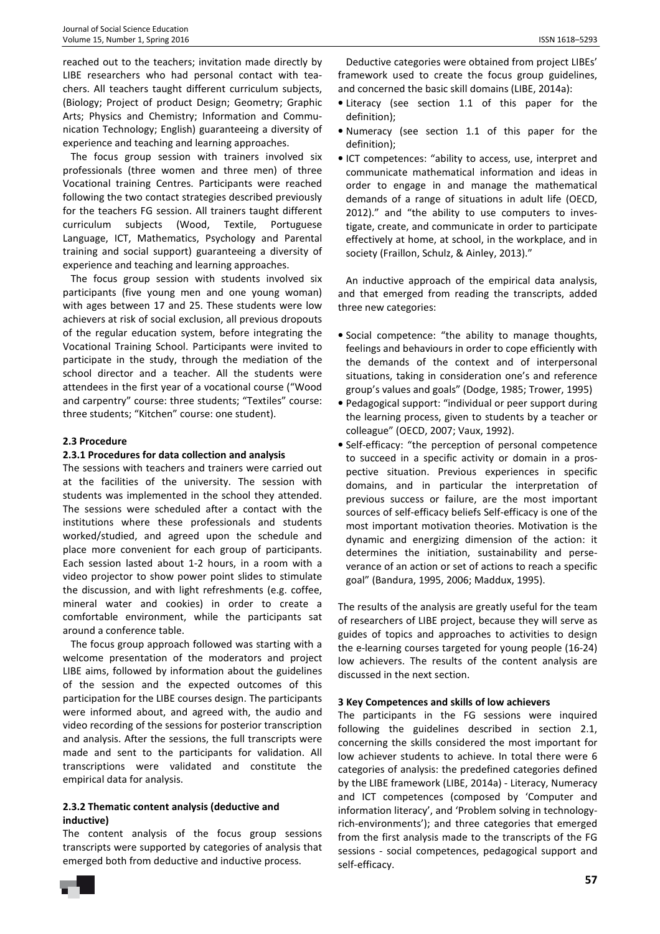reached out to the teachers; invitation made directly by LIBE researchers who had personal contact with teachers. All teachers taught different curriculum subjects, (Biology; Project of product Design; Geometry; Graphic Arts; Physics and Chemistry; Information and Communication Technology; English) guaranteeing a diversity of experience and teaching and learning approaches.

The focus group session with trainers involved six professionals (three women and three men) of three Vocational training Centres. Participants were reached following the two contact strategies described previously for the teachers FG session. All trainers taught different curriculum subjects (Wood, Textile, Portuguese Language, ICT, Mathematics, Psychology and Parental training and social support) guaranteeing a diversity of experience and teaching and learning approaches.

The focus group session with students involved six participants (five young men and one young woman) with ages between 17 and 25. These students were low achievers at risk of social exclusion, all previous dropouts of the regular education system, before integrating the Vocational Training School. Participants were invited to participate in the study, through the mediation of the school director and a teacher. All the students were attendees in the first year of a vocational course ("Wood and carpentry" course: three students; "Textiles" course: three students; "Kitchen" course: one student).

## **2.3 Procedure**

## **2.3.1 Procedures for data collection and analysis**

The sessions with teachers and trainers were carried out at the facilities of the university. The session with students was implemented in the school they attended. The sessions were scheduled after a contact with the institutions where these professionals and students worked/studied, and agreed upon the schedule and place more convenient for each group of participants. Each session lasted about 1-2 hours, in a room with a video projector to show power point slides to stimulate the discussion, and with light refreshments (e.g. coffee, mineral water and cookies) in order to create a comfortable environment, while the participants sat around a conference table.

The focus group approach followed was starting with a welcome presentation of the moderators and project LIBE aims, followed by information about the guidelines of the session and the expected outcomes of this participation for the LIBE courses design. The participants were informed about, and agreed with, the audio and video recording of the sessions for posterior transcription and analysis. After the sessions, the full transcripts were made and sent to the participants for validation. All transcriptions were validated and constitute the empirical data for analysis.

#### **2.3.2 Thematic content analysis (deductive and inductive)**

The content analysis of the focus group sessions transcripts were supported by categories of analysis that emerged both from deductive and inductive process.

Deductive categories were obtained from project LIBEs' framework used to create the focus group guidelines, and concerned the basic skill domains (LIBE, 2014a):

- Literacy (see section 1.1 of this paper for the definition);
- Numeracy (see section 1.1 of this paper for the definition);
- ICT competences: "ability to access, use, interpret and communicate mathematical information and ideas in order to engage in and manage the mathematical demands of a range of situations in adult life (OECD, 2012)." and "the ability to use computers to investigate, create, and communicate in order to participate effectively at home, at school, in the workplace, and in society (Fraillon, Schulz, & Ainley, 2013)."

An inductive approach of the empirical data analysis, and that emerged from reading the transcripts, added three new categories:

- Social competence: "the ability to manage thoughts, feelings and behaviours in order to cope efficiently with the demands of the context and of interpersonal situations, taking in consideration one's and reference group's values and goals" (Dodge, 1985; Trower, 1995)
- Pedagogical support: "individual or peer support during the learning process, given to students by a teacher or colleague" (OECD, 2007; Vaux, 1992).
- Self-efficacy: "the perception of personal competence to succeed in a specific activity or domain in a prospective situation. Previous experiences in specific domains, and in particular the interpretation of previous success or failure, are the most important sources of self-efficacy beliefs Self-efficacy is one of the most important motivation theories. Motivation is the dynamic and energizing dimension of the action: it determines the initiation, sustainability and perseverance of an action or set of actions to reach a specific goal" (Bandura, 1995, 2006; Maddux, 1995).

The results of the analysis are greatly useful for the team of researchers of LIBE project, because they will serve as guides of topics and approaches to activities to design the e-learning courses targeted for young people (16-24) low achievers. The results of the content analysis are discussed in the next section.

## **3 Key Competences and skills of low achievers**

The participants in the FG sessions were inquired following the guidelines described in section 2.1, concerning the skills considered the most important for low achiever students to achieve. In total there were 6 categories of analysis: the predefined categories defined by the LIBE framework (LIBE, 2014a) - Literacy, Numeracy and ICT competences (composed by 'Computer and information literacy', and 'Problem solving in technologyrich-environments'); and three categories that emerged from the first analysis made to the transcripts of the FG sessions - social competences, pedagogical support and self-efficacy.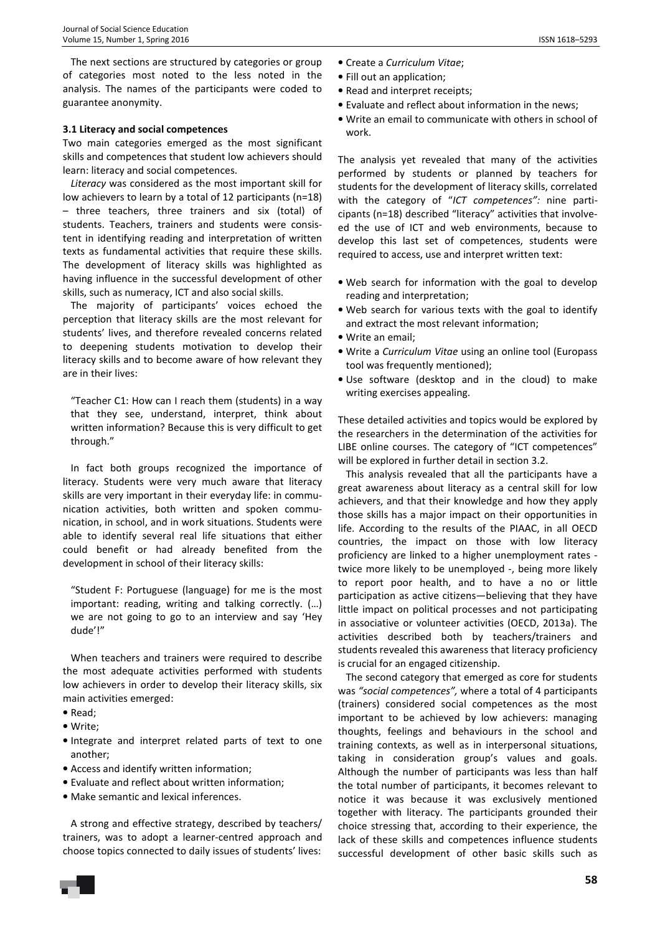The next sections are structured by categories or group of categories most noted to the less noted in the analysis. The names of the participants were coded to guarantee anonymity.

#### **3.1 Literacy and social competences**

Two main categories emerged as the most significant skills and competences that student low achievers should learn: literacy and social competences.

*Literacy* was considered as the most important skill for low achievers to learn by a total of 12 participants (n=18) – three teachers, three trainers and six (total) of students. Teachers, trainers and students were consistent in identifying reading and interpretation of written texts as fundamental activities that require these skills. The development of literacy skills was highlighted as having influence in the successful development of other skills, such as numeracy, ICT and also social skills.

The majority of participants' voices echoed the perception that literacy skills are the most relevant for students' lives, and therefore revealed concerns related to deepening students motivation to develop their literacy skills and to become aware of how relevant they are in their lives:

"Teacher C1: How can I reach them (students) in a way that they see, understand, interpret, think about written information? Because this is very difficult to get through."

In fact both groups recognized the importance of literacy. Students were very much aware that literacy skills are very important in their everyday life: in communication activities, both written and spoken communication, in school, and in work situations. Students were able to identify several real life situations that either could benefit or had already benefited from the development in school of their literacy skills:

"Student F: Portuguese (language) for me is the most important: reading, writing and talking correctly. (…) we are not going to go to an interview and say 'Hey dude'!"

When teachers and trainers were required to describe the most adequate activities performed with students low achievers in order to develop their literacy skills, six main activities emerged:

- Read;
- Write;
- Integrate and interpret related parts of text to one another;
- Access and identify written information;
- Evaluate and reflect about written information;
- Make semantic and lexical inferences.

A strong and effective strategy, described by teachers/ trainers, was to adopt a learner-centred approach and choose topics connected to daily issues of students' lives:

- Fill out an application;
- Read and interpret receipts;
- Evaluate and reflect about information in the news;
- Write an email to communicate with others in school of work.

The analysis yet revealed that many of the activities performed by students or planned by teachers for students for the development of literacy skills, correlated with the category of "*ICT competences":* nine participants (n=18) described "literacy" activities that involveed the use of ICT and web environments, because to develop this last set of competences, students were required to access, use and interpret written text:

- Web search for information with the goal to develop reading and interpretation;
- Web search for various texts with the goal to identify and extract the most relevant information;
- Write an email;
- Write a *Curriculum Vitae* using an online tool (Europass tool was frequently mentioned);
- Use software (desktop and in the cloud) to make writing exercises appealing.

These detailed activities and topics would be explored by the researchers in the determination of the activities for LIBE online courses. The category of "ICT competences" will be explored in further detail in section 3.2.

This analysis revealed that all the participants have a great awareness about literacy as a central skill for low achievers, and that their knowledge and how they apply those skills has a major impact on their opportunities in life. According to the results of the PIAAC, in all OECD countries, the impact on those with low literacy proficiency are linked to a higher unemployment rates twice more likely to be unemployed -, being more likely to report poor health, and to have a no or little participation as active citizens—believing that they have little impact on political processes and not participating in associative or volunteer activities (OECD, 2013a). The activities described both by teachers/trainers and students revealed this awareness that literacy proficiency is crucial for an engaged citizenship.

The second category that emerged as core for students was *"social competences",* where a total of 4 participants (trainers) considered social competences as the most important to be achieved by low achievers: managing thoughts, feelings and behaviours in the school and training contexts, as well as in interpersonal situations, taking in consideration group's values and goals. Although the number of participants was less than half the total number of participants, it becomes relevant to notice it was because it was exclusively mentioned together with literacy. The participants grounded their choice stressing that, according to their experience, the lack of these skills and competences influence students successful development of other basic skills such as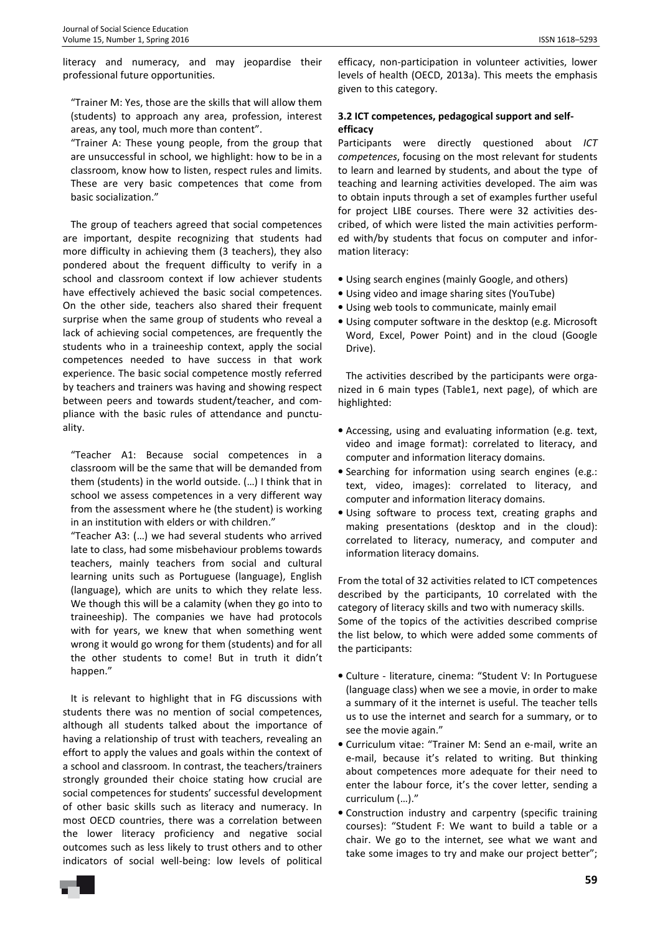literacy and numeracy, and may jeopardise their professional future opportunities.

"Trainer M: Yes, those are the skills that will allow them (students) to approach any area, profession, interest areas, any tool, much more than content".

"Trainer A: These young people, from the group that are unsuccessful in school, we highlight: how to be in a classroom, know how to listen, respect rules and limits. These are very basic competences that come from basic socialization."

The group of teachers agreed that social competences are important, despite recognizing that students had more difficulty in achieving them (3 teachers), they also pondered about the frequent difficulty to verify in a school and classroom context if low achiever students have effectively achieved the basic social competences. On the other side, teachers also shared their frequent surprise when the same group of students who reveal a lack of achieving social competences, are frequently the students who in a traineeship context, apply the social competences needed to have success in that work experience. The basic social competence mostly referred by teachers and trainers was having and showing respect between peers and towards student/teacher, and compliance with the basic rules of attendance and punctuality.

"Teacher A1: Because social competences in a classroom will be the same that will be demanded from them (students) in the world outside. (…) I think that in school we assess competences in a very different way from the assessment where he (the student) is working in an institution with elders or with children."

"Teacher A3: (…) we had several students who arrived late to class, had some misbehaviour problems towards teachers, mainly teachers from social and cultural learning units such as Portuguese (language), English (language), which are units to which they relate less. We though this will be a calamity (when they go into to traineeship). The companies we have had protocols with for years, we knew that when something went wrong it would go wrong for them (students) and for all the other students to come! But in truth it didn't happen."

It is relevant to highlight that in FG discussions with students there was no mention of social competences, although all students talked about the importance of having a relationship of trust with teachers, revealing an effort to apply the values and goals within the context of a school and classroom. In contrast, the teachers/trainers strongly grounded their choice stating how crucial are social competences for students' successful development of other basic skills such as literacy and numeracy. In most OECD countries, there was a correlation between the lower literacy proficiency and negative social outcomes such as less likely to trust others and to other indicators of social well-being: low levels of political

efficacy, non-participation in volunteer activities, lower levels of health (OECD, 2013a). This meets the emphasis given to this category.

## **3.2 ICT competences, pedagogical support and selfefficacy**

Participants were directly questioned about *ICT competences*, focusing on the most relevant for students to learn and learned by students, and about the type of teaching and learning activities developed. The aim was to obtain inputs through a set of examples further useful for project LIBE courses. There were 32 activities described, of which were listed the main activities performed with/by students that focus on computer and information literacy:

- Using search engines (mainly Google, and others)
- Using video and image sharing sites (YouTube)
- Using web tools to communicate, mainly email
- Using computer software in the desktop (e.g. Microsoft Word, Excel, Power Point) and in the cloud (Google Drive).

The activities described by the participants were organized in 6 main types (Table1, next page), of which are highlighted:

- Accessing, using and evaluating information (e.g. text, video and image format): correlated to literacy, and computer and information literacy domains.
- Searching for information using search engines (e.g.: text, video, images): correlated to literacy, and computer and information literacy domains.
- Using software to process text, creating graphs and making presentations (desktop and in the cloud): correlated to literacy, numeracy, and computer and information literacy domains.

From the total of 32 activities related to ICT competences described by the participants, 10 correlated with the category of literacy skills and two with numeracy skills. Some of the topics of the activities described comprise the list below, to which were added some comments of the participants:

- Culture literature, cinema: "Student V: In Portuguese (language class) when we see a movie, in order to make a summary of it the internet is useful. The teacher tells us to use the internet and search for a summary, or to see the movie again."
- Curriculum vitae: "Trainer M: Send an e-mail, write an e-mail, because it's related to writing. But thinking about competences more adequate for their need to enter the labour force, it's the cover letter, sending a curriculum (…)."
- Construction industry and carpentry (specific training courses): "Student F: We want to build a table or a chair. We go to the internet, see what we want and take some images to try and make our project better";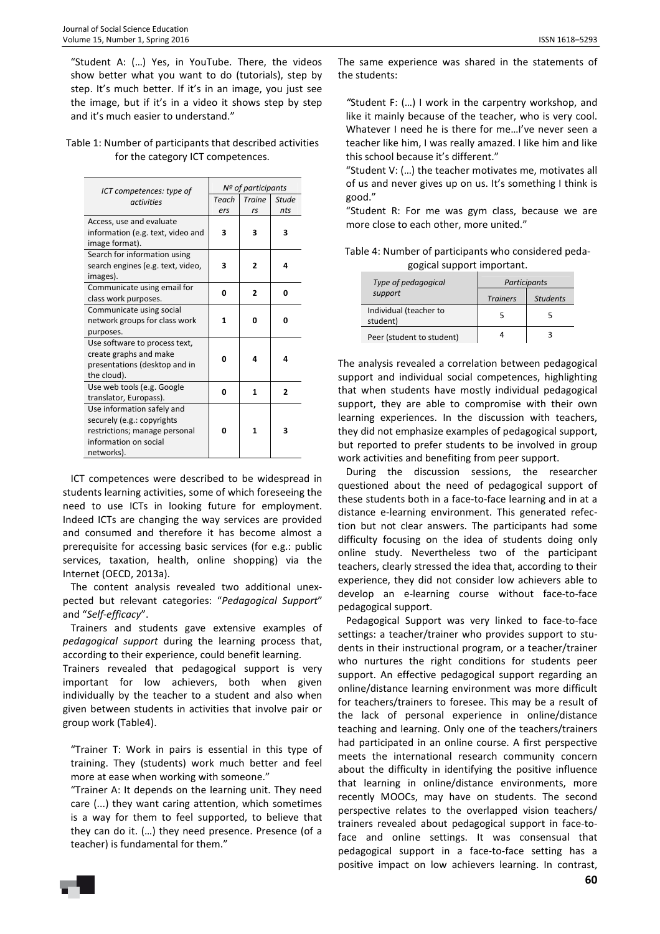"Student A: (…) Yes, in YouTube. There, the videos show better what you want to do (tutorials), step by step. It's much better. If it's in an image, you just see the image, but if it's in a video it shows step by step and it's much easier to understand."

#### Table 1: Number of participants that described activities for the category ICT competences.

| ICT competences: type of<br>activities | Nº of participants |                |                |
|----------------------------------------|--------------------|----------------|----------------|
|                                        | Teach              | <b>Traine</b>  | <b>Stude</b>   |
|                                        | ers                | rs             | nts            |
| Access, use and evaluate               |                    |                |                |
| information (e.g. text, video and      | 3                  | 3              | 3              |
| image format).                         |                    |                |                |
| Search for information using           |                    |                |                |
| search engines (e.g. text, video,      | 3                  | $\overline{2}$ | 4              |
| images).                               |                    |                |                |
| Communicate using email for            | 0                  | 2              | O              |
| class work purposes.                   |                    |                |                |
| Communicate using social               |                    |                |                |
| network groups for class work          | 1                  | 0              | U              |
| purposes.                              |                    |                |                |
| Use software to process text,          |                    |                |                |
| create graphs and make                 | 0                  | 4              | 4              |
| presentations (desktop and in          |                    |                |                |
| the cloud).                            |                    |                |                |
| Use web tools (e.g. Google             | 0                  | 1              | $\overline{2}$ |
| translator, Europass).                 |                    |                |                |
| Use information safely and             |                    |                |                |
| securely (e.g.: copyrights             |                    |                |                |
| restrictions; manage personal          | O                  | 1              | 3              |
| information on social                  |                    |                |                |
| networks).                             |                    |                |                |

ICT competences were described to be widespread in students learning activities, some of which foreseeing the need to use ICTs in looking future for employment. Indeed ICTs are changing the way services are provided and consumed and therefore it has become almost a prerequisite for accessing basic services (for e.g.: public services, taxation, health, online shopping) via the Internet (OECD, 2013a).

The content analysis revealed two additional unexpected but relevant categories: "*Pedagogical Support*" and "*Self-efficacy*".

Trainers and students gave extensive examples of *pedagogical support* during the learning process that, according to their experience, could benefit learning.

Trainers revealed that pedagogical support is very important for low achievers, both when given individually by the teacher to a student and also when given between students in activities that involve pair or group work (Table4).

"Trainer T: Work in pairs is essential in this type of training. They (students) work much better and feel more at ease when working with someone."

"Trainer A: It depends on the learning unit. They need care (...) they want caring attention, which sometimes is a way for them to feel supported, to believe that they can do it. (…) they need presence. Presence (of a teacher) is fundamental for them."

The same experience was shared in the statements of the students:

*"*Student F: (…) I work in the carpentry workshop, and like it mainly because of the teacher, who is very cool. Whatever I need he is there for me…I've never seen a teacher like him, I was really amazed. I like him and like this school because it's different."

"Student V: (…) the teacher motivates me, motivates all of us and never gives up on us. It's something I think is good."

"Student R: For me was gym class, because we are more close to each other, more united."

| Table 4: Number of participants who considered peda- |  |
|------------------------------------------------------|--|
| gogical support important.                           |  |
|                                                      |  |

| Type of pedagogical                | Participants    |                 |  |
|------------------------------------|-----------------|-----------------|--|
| support                            | <b>Trainers</b> | <b>Students</b> |  |
| Individual (teacher to<br>student) |                 | 5               |  |
| Peer (student to student)          |                 |                 |  |

The analysis revealed a correlation between pedagogical support and individual social competences, highlighting that when students have mostly individual pedagogical support, they are able to compromise with their own learning experiences. In the discussion with teachers, they did not emphasize examples of pedagogical support, but reported to prefer students to be involved in group work activities and benefiting from peer support.

During the discussion sessions, the researcher questioned about the need of pedagogical support of these students both in a face-to-face learning and in at a distance e-learning environment. This generated refection but not clear answers. The participants had some difficulty focusing on the idea of students doing only online study. Nevertheless two of the participant teachers, clearly stressed the idea that, according to their experience, they did not consider low achievers able to develop an e-learning course without face-to-face pedagogical support.

Pedagogical Support was very linked to face-to-face settings: a teacher/trainer who provides support to students in their instructional program, or a teacher/trainer who nurtures the right conditions for students peer support. An effective pedagogical support regarding an online/distance learning environment was more difficult for teachers/trainers to foresee. This may be a result of the lack of personal experience in online/distance teaching and learning. Only one of the teachers/trainers had participated in an online course. A first perspective meets the international research community concern about the difficulty in identifying the positive influence that learning in online/distance environments, more recently MOOCs, may have on students. The second perspective relates to the overlapped vision teachers/ trainers revealed about pedagogical support in face-toface and online settings. It was consensual that pedagogical support in a face-to-face setting has a positive impact on low achievers learning. In contrast,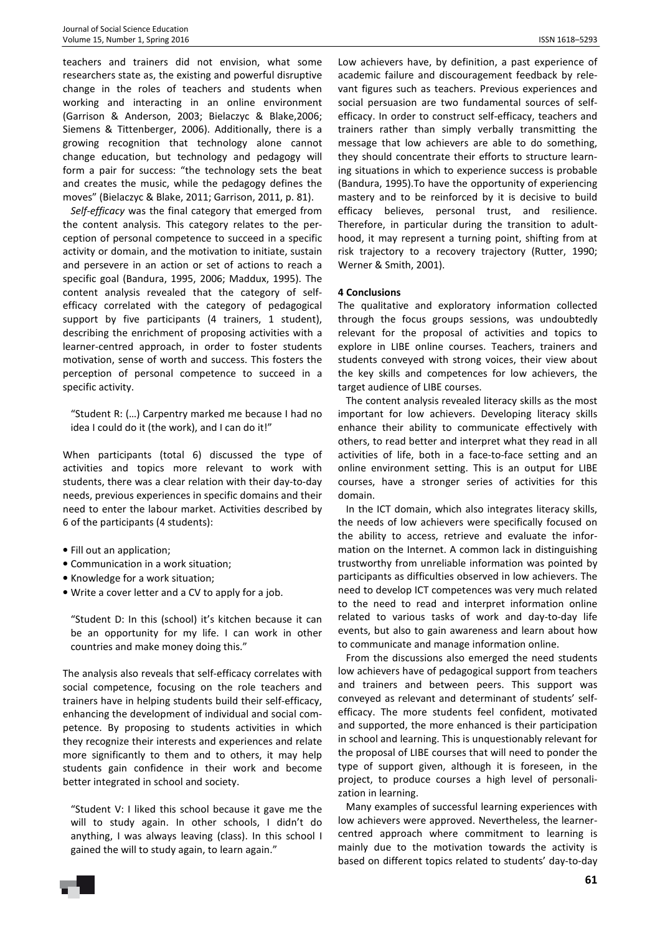teachers and trainers did not envision, what some researchers state as, the existing and powerful disruptive change in the roles of teachers and students when working and interacting in an online environment (Garrison & Anderson, 2003; Bielaczyc & Blake,2006; Siemens & Tittenberger, 2006). Additionally, there is a growing recognition that technology alone cannot change education, but technology and pedagogy will form a pair for success: "the technology sets the beat and creates the music, while the pedagogy defines the moves" (Bielaczyc & Blake, 2011; Garrison, 2011, p. 81).

*Self-efficacy* was the final category that emerged from the content analysis. This category relates to the perception of personal competence to succeed in a specific activity or domain, and the motivation to initiate, sustain and persevere in an action or set of actions to reach a specific goal (Bandura, 1995, 2006; Maddux, 1995). The content analysis revealed that the category of selfefficacy correlated with the category of pedagogical support by five participants (4 trainers, 1 student), describing the enrichment of proposing activities with a learner-centred approach, in order to foster students motivation, sense of worth and success. This fosters the perception of personal competence to succeed in a specific activity.

"Student R: (…) Carpentry marked me because I had no idea I could do it (the work), and I can do it!"

When participants (total 6) discussed the type of activities and topics more relevant to work with students, there was a clear relation with their day-to-day needs, previous experiences in specific domains and their need to enter the labour market. Activities described by 6 of the participants (4 students):

- Fill out an application;
- Communication in a work situation;
- Knowledge for a work situation;
- Write a cover letter and a CV to apply for a job.

"Student D: In this (school) it's kitchen because it can be an opportunity for my life. I can work in other countries and make money doing this."

The analysis also reveals that self-efficacy correlates with social competence, focusing on the role teachers and trainers have in helping students build their self-efficacy, enhancing the development of individual and social competence. By proposing to students activities in which they recognize their interests and experiences and relate more significantly to them and to others, it may help students gain confidence in their work and become better integrated in school and society.

"Student V: I liked this school because it gave me the will to study again. In other schools, I didn't do anything, I was always leaving (class). In this school I gained the will to study again, to learn again."

Low achievers have, by definition, a past experience of academic failure and discouragement feedback by relevant figures such as teachers. Previous experiences and social persuasion are two fundamental sources of selfefficacy. In order to construct self-efficacy, teachers and trainers rather than simply verbally transmitting the message that low achievers are able to do something, they should concentrate their efforts to structure learning situations in which to experience success is probable (Bandura, 1995).To have the opportunity of experiencing mastery and to be reinforced by it is decisive to build efficacy believes, personal trust, and resilience. Therefore, in particular during the transition to adulthood, it may represent a turning point, shifting from at risk trajectory to a recovery trajectory (Rutter, 1990; Werner & Smith, 2001).

#### **4 Conclusions**

The qualitative and exploratory information collected through the focus groups sessions, was undoubtedly relevant for the proposal of activities and topics to explore in LIBE online courses. Teachers, trainers and students conveyed with strong voices, their view about the key skills and competences for low achievers, the target audience of LIBE courses.

The content analysis revealed literacy skills as the most important for low achievers. Developing literacy skills enhance their ability to communicate effectively with others, to read better and interpret what they read in all activities of life, both in a face-to-face setting and an online environment setting. This is an output for LIBE courses, have a stronger series of activities for this domain.

In the ICT domain, which also integrates literacy skills, the needs of low achievers were specifically focused on the ability to access, retrieve and evaluate the information on the Internet. A common lack in distinguishing trustworthy from unreliable information was pointed by participants as difficulties observed in low achievers. The need to develop ICT competences was very much related to the need to read and interpret information online related to various tasks of work and day-to-day life events, but also to gain awareness and learn about how to communicate and manage information online.

From the discussions also emerged the need students low achievers have of pedagogical support from teachers and trainers and between peers. This support was conveyed as relevant and determinant of students' selfefficacy. The more students feel confident, motivated and supported, the more enhanced is their participation in school and learning. This is unquestionably relevant for the proposal of LIBE courses that will need to ponder the type of support given, although it is foreseen, in the project, to produce courses a high level of personalization in learning.

Many examples of successful learning experiences with low achievers were approved. Nevertheless, the learnercentred approach where commitment to learning is mainly due to the motivation towards the activity is based on different topics related to students' day-to-day